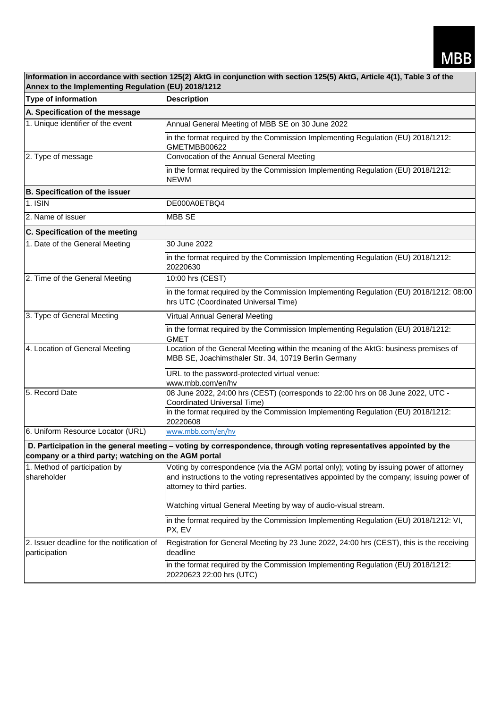| Information in accordance with section 125(2) AktG in conjunction with section 125(5) AktG, Article 4(1), Table 3 of the<br>Annex to the Implementing Regulation (EU) 2018/1212 |                                                                                                                                                                                                                    |  |  |
|---------------------------------------------------------------------------------------------------------------------------------------------------------------------------------|--------------------------------------------------------------------------------------------------------------------------------------------------------------------------------------------------------------------|--|--|
| Type of information                                                                                                                                                             | <b>Description</b>                                                                                                                                                                                                 |  |  |
| A. Specification of the message                                                                                                                                                 |                                                                                                                                                                                                                    |  |  |
| 1. Unique identifier of the event                                                                                                                                               | Annual General Meeting of MBB SE on 30 June 2022                                                                                                                                                                   |  |  |
|                                                                                                                                                                                 | in the format required by the Commission Implementing Regulation (EU) 2018/1212:<br>GMETMBB00622                                                                                                                   |  |  |
| 2. Type of message                                                                                                                                                              | Convocation of the Annual General Meeting                                                                                                                                                                          |  |  |
|                                                                                                                                                                                 | in the format required by the Commission Implementing Regulation (EU) 2018/1212:<br><b>NEWM</b>                                                                                                                    |  |  |
| <b>B. Specification of the issuer</b>                                                                                                                                           |                                                                                                                                                                                                                    |  |  |
| 1. ISIN                                                                                                                                                                         | DE000A0ETBQ4                                                                                                                                                                                                       |  |  |
| 2. Name of issuer                                                                                                                                                               | <b>MBB SE</b>                                                                                                                                                                                                      |  |  |
| C. Specification of the meeting                                                                                                                                                 |                                                                                                                                                                                                                    |  |  |
| 1. Date of the General Meeting                                                                                                                                                  | 30 June 2022                                                                                                                                                                                                       |  |  |
|                                                                                                                                                                                 | in the format required by the Commission Implementing Regulation (EU) 2018/1212:<br>20220630                                                                                                                       |  |  |
| 2. Time of the General Meeting                                                                                                                                                  | 10:00 hrs (CEST)                                                                                                                                                                                                   |  |  |
|                                                                                                                                                                                 | in the format required by the Commission Implementing Regulation (EU) 2018/1212: 08:00<br>hrs UTC (Coordinated Universal Time)                                                                                     |  |  |
| 3. Type of General Meeting                                                                                                                                                      | Virtual Annual General Meeting                                                                                                                                                                                     |  |  |
|                                                                                                                                                                                 | in the format required by the Commission Implementing Regulation (EU) 2018/1212:<br><b>GMET</b>                                                                                                                    |  |  |
| 4. Location of General Meeting                                                                                                                                                  | Location of the General Meeting within the meaning of the AktG: business premises of<br>MBB SE, Joachimsthaler Str. 34, 10719 Berlin Germany                                                                       |  |  |
|                                                                                                                                                                                 | URL to the password-protected virtual venue:<br>www.mbb.com/en/hv                                                                                                                                                  |  |  |
| 5. Record Date                                                                                                                                                                  | 08 June 2022, 24:00 hrs (CEST) (corresponds to 22:00 hrs on 08 June 2022, UTC -<br><b>Coordinated Universal Time)</b>                                                                                              |  |  |
|                                                                                                                                                                                 | in the format required by the Commission Implementing Regulation (EU) 2018/1212:<br>20220608                                                                                                                       |  |  |
| 6. Uniform Resource Locator (URL)                                                                                                                                               | www.mbb.com/en/hv                                                                                                                                                                                                  |  |  |
| D. Participation in the general meeting - voting by correspondence, through voting representatives appointed by the<br>company or a third party; watching on the AGM portal     |                                                                                                                                                                                                                    |  |  |
| 1. Method of participation by<br>shareholder                                                                                                                                    | Voting by correspondence (via the AGM portal only); voting by issuing power of attorney<br>and instructions to the voting representatives appointed by the company; issuing power of<br>attorney to third parties. |  |  |
|                                                                                                                                                                                 | Watching virtual General Meeting by way of audio-visual stream.                                                                                                                                                    |  |  |
|                                                                                                                                                                                 | in the format required by the Commission Implementing Regulation (EU) 2018/1212: VI,<br>PX, EV                                                                                                                     |  |  |
| 2. Issuer deadline for the notification of<br>participation                                                                                                                     | Registration for General Meeting by 23 June 2022, 24:00 hrs (CEST), this is the receiving<br>deadline                                                                                                              |  |  |
|                                                                                                                                                                                 | in the format required by the Commission Implementing Regulation (EU) 2018/1212:<br>20220623 22:00 hrs (UTC)                                                                                                       |  |  |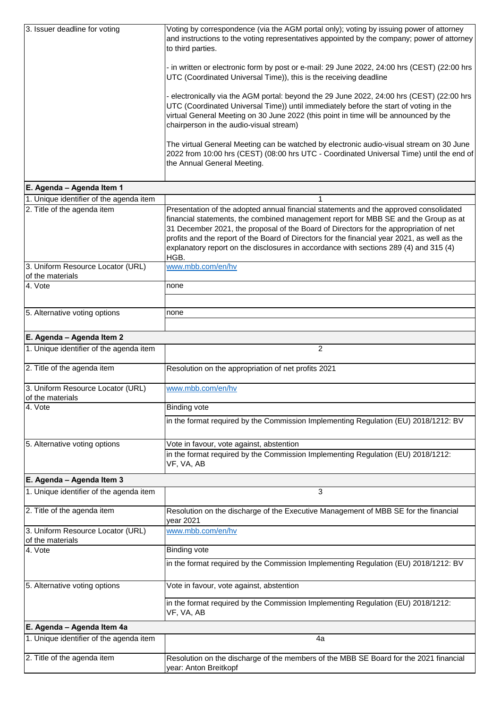| 3. Issuer deadline for voting                         | Voting by correspondence (via the AGM portal only); voting by issuing power of attorney<br>and instructions to the voting representatives appointed by the company; power of attorney<br>to third parties.                                                                                                                                                                                                                                                             |
|-------------------------------------------------------|------------------------------------------------------------------------------------------------------------------------------------------------------------------------------------------------------------------------------------------------------------------------------------------------------------------------------------------------------------------------------------------------------------------------------------------------------------------------|
|                                                       | - in written or electronic form by post or e-mail: 29 June 2022, 24:00 hrs (CEST) (22:00 hrs<br>UTC (Coordinated Universal Time)), this is the receiving deadline                                                                                                                                                                                                                                                                                                      |
|                                                       | - electronically via the AGM portal: beyond the 29 June 2022, 24:00 hrs (CEST) (22:00 hrs<br>UTC (Coordinated Universal Time)) until immediately before the start of voting in the<br>virtual General Meeting on 30 June 2022 (this point in time will be announced by the<br>chairperson in the audio-visual stream)                                                                                                                                                  |
|                                                       | The virtual General Meeting can be watched by electronic audio-visual stream on 30 June<br>2022 from 10:00 hrs (CEST) (08:00 hrs UTC - Coordinated Universal Time) until the end of<br>the Annual General Meeting.                                                                                                                                                                                                                                                     |
| E. Agenda - Agenda Item 1                             |                                                                                                                                                                                                                                                                                                                                                                                                                                                                        |
| 1. Unique identifier of the agenda item               | $\mathbf{1}$                                                                                                                                                                                                                                                                                                                                                                                                                                                           |
| 2. Title of the agenda item                           | Presentation of the adopted annual financial statements and the approved consolidated<br>financial statements, the combined management report for MBB SE and the Group as at<br>31 December 2021, the proposal of the Board of Directors for the appropriation of net<br>profits and the report of the Board of Directors for the financial year 2021, as well as the<br>explanatory report on the disclosures in accordance with sections 289 (4) and 315 (4)<br>HGB. |
| 3. Uniform Resource Locator (URL)<br>of the materials | www.mbb.com/en/hv                                                                                                                                                                                                                                                                                                                                                                                                                                                      |
| 4. Vote                                               | none                                                                                                                                                                                                                                                                                                                                                                                                                                                                   |
|                                                       |                                                                                                                                                                                                                                                                                                                                                                                                                                                                        |
| 5. Alternative voting options                         | none                                                                                                                                                                                                                                                                                                                                                                                                                                                                   |
| E. Agenda - Agenda Item 2                             |                                                                                                                                                                                                                                                                                                                                                                                                                                                                        |
| 1. Unique identifier of the agenda item               | $\overline{c}$                                                                                                                                                                                                                                                                                                                                                                                                                                                         |
| 2. Title of the agenda item                           | Resolution on the appropriation of net profits 2021                                                                                                                                                                                                                                                                                                                                                                                                                    |
|                                                       |                                                                                                                                                                                                                                                                                                                                                                                                                                                                        |
| 3. Uniform Resource Locator (URL)<br>of the materials | www.mbb.com/en/hv                                                                                                                                                                                                                                                                                                                                                                                                                                                      |
| 4. Vote                                               | <b>Binding vote</b>                                                                                                                                                                                                                                                                                                                                                                                                                                                    |
|                                                       | in the format required by the Commission Implementing Regulation (EU) 2018/1212: BV                                                                                                                                                                                                                                                                                                                                                                                    |
| 5. Alternative voting options                         | Vote in favour, vote against, abstention                                                                                                                                                                                                                                                                                                                                                                                                                               |
|                                                       | in the format required by the Commission Implementing Regulation (EU) 2018/1212:<br>VF, VA, AB                                                                                                                                                                                                                                                                                                                                                                         |
| E. Agenda - Agenda Item 3                             |                                                                                                                                                                                                                                                                                                                                                                                                                                                                        |
| 1. Unique identifier of the agenda item               | 3                                                                                                                                                                                                                                                                                                                                                                                                                                                                      |
| 2. Title of the agenda item                           | Resolution on the discharge of the Executive Management of MBB SE for the financial<br>year 2021                                                                                                                                                                                                                                                                                                                                                                       |
| 3. Uniform Resource Locator (URL)                     | www.mbb.com/en/hv                                                                                                                                                                                                                                                                                                                                                                                                                                                      |
| of the materials<br>4. Vote                           | <b>Binding vote</b>                                                                                                                                                                                                                                                                                                                                                                                                                                                    |
|                                                       | in the format required by the Commission Implementing Regulation (EU) 2018/1212: BV                                                                                                                                                                                                                                                                                                                                                                                    |
| 5. Alternative voting options                         | Vote in favour, vote against, abstention                                                                                                                                                                                                                                                                                                                                                                                                                               |
|                                                       | in the format required by the Commission Implementing Regulation (EU) 2018/1212:<br>VF, VA, AB                                                                                                                                                                                                                                                                                                                                                                         |
| E. Agenda - Agenda Item 4a                            |                                                                                                                                                                                                                                                                                                                                                                                                                                                                        |
| 1. Unique identifier of the agenda item               | 4a                                                                                                                                                                                                                                                                                                                                                                                                                                                                     |
| 2. Title of the agenda item                           | Resolution on the discharge of the members of the MBB SE Board for the 2021 financial<br>year: Anton Breitkopf                                                                                                                                                                                                                                                                                                                                                         |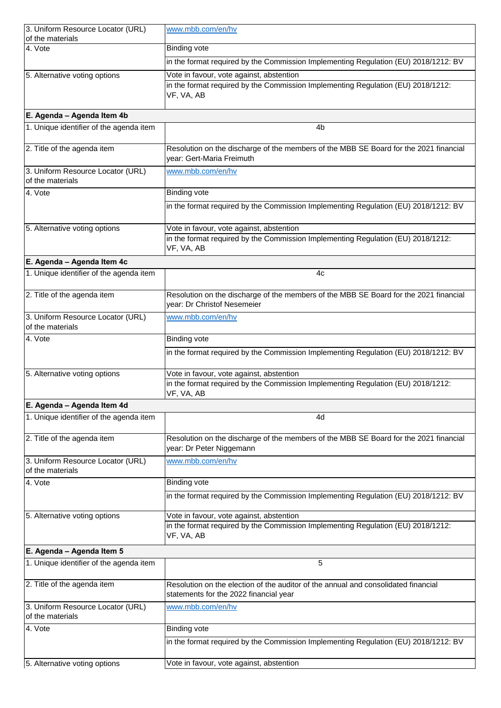| 3. Uniform Resource Locator (URL)                     | www.mbb.com/en/hv                                                                                                                          |
|-------------------------------------------------------|--------------------------------------------------------------------------------------------------------------------------------------------|
| of the materials<br>4. Vote                           | <b>Binding vote</b>                                                                                                                        |
|                                                       | in the format required by the Commission Implementing Regulation (EU) 2018/1212: BV                                                        |
| 5. Alternative voting options                         | Vote in favour, vote against, abstention                                                                                                   |
|                                                       | in the format required by the Commission Implementing Regulation (EU) 2018/1212:<br>VF, VA, AB                                             |
| E. Agenda - Agenda Item 4b                            |                                                                                                                                            |
| 1. Unique identifier of the agenda item               | 4b                                                                                                                                         |
| 2. Title of the agenda item                           | Resolution on the discharge of the members of the MBB SE Board for the 2021 financial<br>year: Gert-Maria Freimuth                         |
| 3. Uniform Resource Locator (URL)<br>of the materials | www.mbb.com/en/hv                                                                                                                          |
| 4. Vote                                               | <b>Binding vote</b>                                                                                                                        |
|                                                       | in the format required by the Commission Implementing Regulation (EU) 2018/1212: BV                                                        |
| 5. Alternative voting options                         | Vote in favour, vote against, abstention                                                                                                   |
|                                                       | in the format required by the Commission Implementing Regulation (EU) 2018/1212:<br>VF, VA, AB                                             |
| E. Agenda - Agenda Item 4c                            |                                                                                                                                            |
| 1. Unique identifier of the agenda item               | 4c                                                                                                                                         |
| 2. Title of the agenda item                           | Resolution on the discharge of the members of the MBB SE Board for the 2021 financial<br>year: Dr Christof Nesemeier                       |
| 3. Uniform Resource Locator (URL)<br>of the materials | www.mbb.com/en/hv                                                                                                                          |
| 4. Vote                                               | <b>Binding vote</b>                                                                                                                        |
|                                                       | in the format required by the Commission Implementing Regulation (EU) 2018/1212: BV                                                        |
| 5. Alternative voting options                         | Vote in favour, vote against, abstention                                                                                                   |
|                                                       | in the format required by the Commission Implementing Regulation (EU) 2018/1212:<br>VF, VA, AB                                             |
| E. Agenda - Agenda Item 4d                            |                                                                                                                                            |
| 1. Unique identifier of the agenda item               | 4d                                                                                                                                         |
| 2. Title of the agenda item                           | Resolution on the discharge of the members of the MBB SE Board for the 2021 financial<br>year: Dr Peter Niggemann                          |
| 3. Uniform Resource Locator (URL)<br>of the materials | www.mbb.com/en/hv                                                                                                                          |
| 4. Vote                                               | <b>Binding vote</b>                                                                                                                        |
|                                                       | in the format required by the Commission Implementing Regulation (EU) 2018/1212: BV                                                        |
| 5. Alternative voting options                         | Vote in favour, vote against, abstention<br>in the format required by the Commission Implementing Regulation (EU) 2018/1212:<br>VF, VA, AB |
| E. Agenda - Agenda Item 5                             |                                                                                                                                            |
| 1. Unique identifier of the agenda item               | 5                                                                                                                                          |
| 2. Title of the agenda item                           | Resolution on the election of the auditor of the annual and consolidated financial<br>statements for the 2022 financial year               |
| 3. Uniform Resource Locator (URL)<br>of the materials | www.mbb.com/en/hv                                                                                                                          |
| 4. Vote                                               | <b>Binding vote</b>                                                                                                                        |
|                                                       | in the format required by the Commission Implementing Regulation (EU) 2018/1212: BV                                                        |
| 5. Alternative voting options                         | Vote in favour, vote against, abstention                                                                                                   |